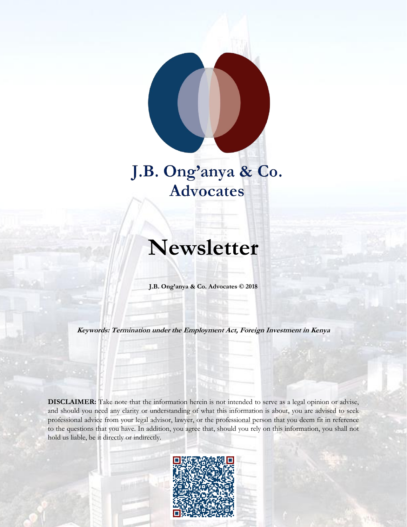

# J.B. Ong'anya & Co. **Advocates**

# **Newsletter**

**J.B. Ong'anya & Co. Advocates © 2018**

**Keywords: Termination under the Employment Act, Foreign Investment in Kenya**

**DISCLAIMER:** Take note that the information herein is not intended to serve as a legal opinion or advise, and should you need any clarity or understanding of what this information is about, you are advised to seek professional advice from your legal advisor, lawyer, or the professional person that you deem fit in reference to the questions that you have. In addition, you agree that, should you rely on this information, you shall not hold us liable, be it directly or indirectly.

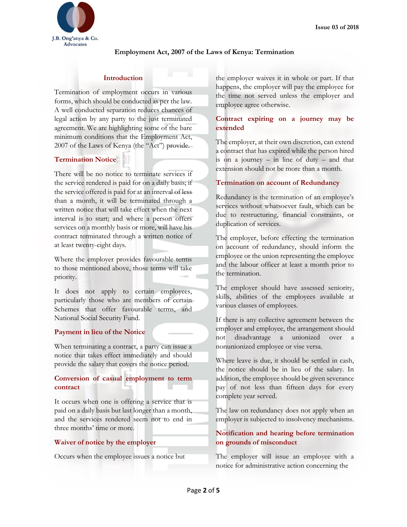

#### **Employment Act, 2007 of the Laws of Kenya: Termination**

#### **Introduction**

Termination of employment occurs in various forms, which should be conducted as per the law. A well conducted separation reduces chances of legal action by any party to the just terminated agreement. We are highlighting some of the bare minimum conditions that the Employment Act, 2007 of the Laws of Kenya (the "Act") provide.

# **Termination Notice**

There will be no notice to terminate services if the service rendered is paid for on a daily basis; if the service offered is paid for at an interval of less than a month, it will be terminated through a written notice that will take effect when the next interval is to start; and where a person offers services on a monthly basis or more, will have his contract terminated through a written notice of at least twenty-eight days.

Where the employer provides favourable terms to those mentioned above, those terms will take priority.

It does not apply to certain employees, particularly those who are members of certain Schemes that offer favourable terms, and National Social Security Fund.

#### **Payment in lieu of the Notice**

When terminating a contract, a party can issue a notice that takes effect immediately and should provide the salary that covers the notice period.

# **Conversion of casual employment to term contract**

It occurs when one is offering a service that is paid on a daily basis but last longer than a month, and the services rendered seem not to end in three months' time or more.

#### **Waiver of notice by the employer**

Occurs when the employee issues a notice but

the employer waives it in whole or part. If that happens, the employer will pay the employee for the time not served unless the employer and employee agree otherwise.

# **Contract expiring on a journey may be extended**

The employer, at their own discretion, can extend a contract that has expired while the person hired is on a journey – in line of duty – and that extension should not be more than a month.

#### **Termination on account of Redundancy**

Redundancy is the termination of an employee's services without whatsoever fault, which can be due to restructuring, financial constraints, or duplication of services.

The employer, before effecting the termination on account of redundancy, should inform the employee or the union representing the employee and the labour officer at least a month prior to the termination.

The employer should have assessed seniority, skills, abilities of the employees available at various classes of employees.

If there is any collective agreement between the employer and employee, the arrangement should not disadvantage a unionized over a nonunionized employee or vise versa.

Where leave is due, it should be settled in cash, the notice should be in lieu of the salary. In addition, the employee should be given severance pay of not less than fifteen days for every complete year served.

The law on redundancy does not apply when an employer is subjected to insolvency mechanisms.

# **Notification and hearing before termination on grounds of misconduct**

The employer will issue an employee with a notice for administrative action concerning the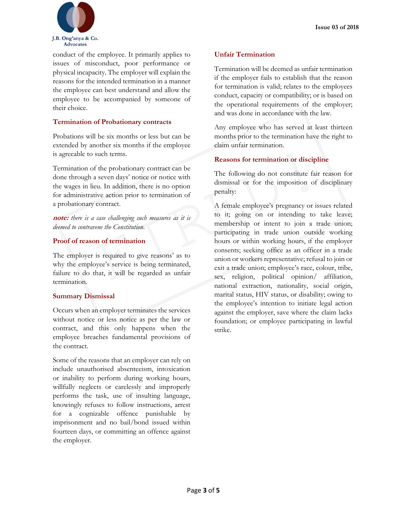

conduct of the employee. It primarily applies to issues of misconduct, poor performance or physical incapacity. The employer will explain the reasons for the intended termination in a manner the employee can best understand and allow the employee to be accompanied by someone of their choice.

# **Termination of Probationary contracts**

Probations will be six months or less but can be extended by another six months if the employee is agreeable to such terms.

Termination of the probationary contract can be done through a seven days' notice or notice with the wages in lieu. In addition, there is no option for administrative action prior to termination of a probationary contract.

**note:** *there is a case challenging such measures as it is deemed to contravene the Constitution*.

### **Proof of reason of termination**

The employer is required to give reasons' as to why the employee's service is being terminated, failure to do that, it will be regarded as unfair termination.

# **Summary Dismissal**

Occurs when an employer terminates the services without notice or less notice as per the law or contract, and this only happens when the employee breaches fundamental provisions of the contract.

Some of the reasons that an employer can rely on include unauthorised absenteeism, intoxication or inability to perform during working hours, willfully neglects or carelessly and improperly performs the task, use of insulting language, knowingly refuses to follow instructions, arrest for a cognizable offence punishable by imprisonment and no bail/bond issued within fourteen days, or committing an offence against the employer.

# **Unfair Termination**

Termination will be deemed as unfair termination if the employer fails to establish that the reason for termination is valid; relates to the employees conduct, capacity or compatibility; or is based on the operational requirements of the employer; and was done in accordance with the law.

Any employee who has served at least thirteen months prior to the termination have the right to claim unfair termination.

# **Reasons for termination or discipline**

The following do not constitute fair reason for dismissal or for the imposition of disciplinary penalty:

A female employee's pregnancy or issues related to it; going on or intending to take leave; membership or intent to join a trade union; participating in trade union outside working hours or within working hours, if the employer consents; seeking office as an officer in a trade union or workers representative; refusal to join or exit a trade union; employee's race, colour, tribe, sex, religion, political opinion/ affiliation, national extraction, nationality, social origin, marital status, HIV status, or disability; owing to the employee's intention to initiate legal action against the employer, save where the claim lacks foundation; or employee participating in lawful strike.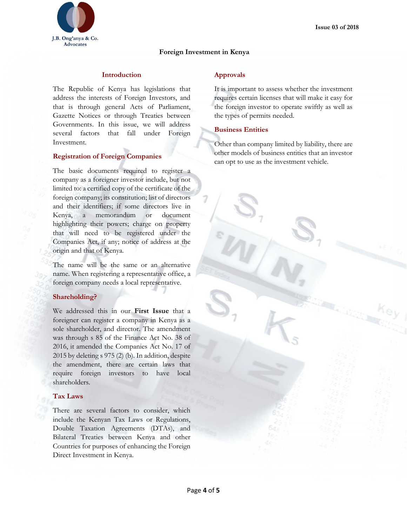

## **Foreign Investment in Kenya**

#### **Introduction**

The Republic of Kenya has legislations that address the interests of Foreign Investors, and that is through general Acts of Parliament, Gazette Notices or through Treaties between Governments. In this issue, we will address several factors that fall under Foreign Investment.

#### **Registration of Foreign Companies**

The basic documents required to register a company as a foreigner investor include, but not limited to: a certified copy of the certificate of the foreign company; its constitution; list of directors and their identifiers; if some directors live in Kenya, a memorandum or document highlighting their powers; charge on property that will need to be registered under the Companies Act, if any; notice of address at the origin and that of Kenya.

The name will be the same or an alternative name. When registering a representative office, a foreign company needs a local representative.

#### **Shareholding?**

We addressed this in our **First Issue** that a foreigner can register a company in Kenya as a sole shareholder, and director. The amendment was through s 85 of the Finance Act No. 38 of 2016, it amended the Companies Act No. 17 of 2015 by deleting s 975 (2) (b). In addition, despite the amendment, there are certain laws that require foreign investors to have local shareholders.

#### **Tax Laws**

There are several factors to consider, which include the Kenyan Tax Laws or Regulations, Double Taxation Agreements (DTAs), and Bilateral Treaties between Kenya and other Countries for purposes of enhancing the Foreign Direct Investment in Kenya.

#### **Approvals**

It is important to assess whether the investment requires certain licenses that will make it easy for the foreign investor to operate swiftly as well as the types of permits needed.

#### **Business Entities**

Other than company limited by liability, there are other models of business entities that an investor can opt to use as the investment vehicle.